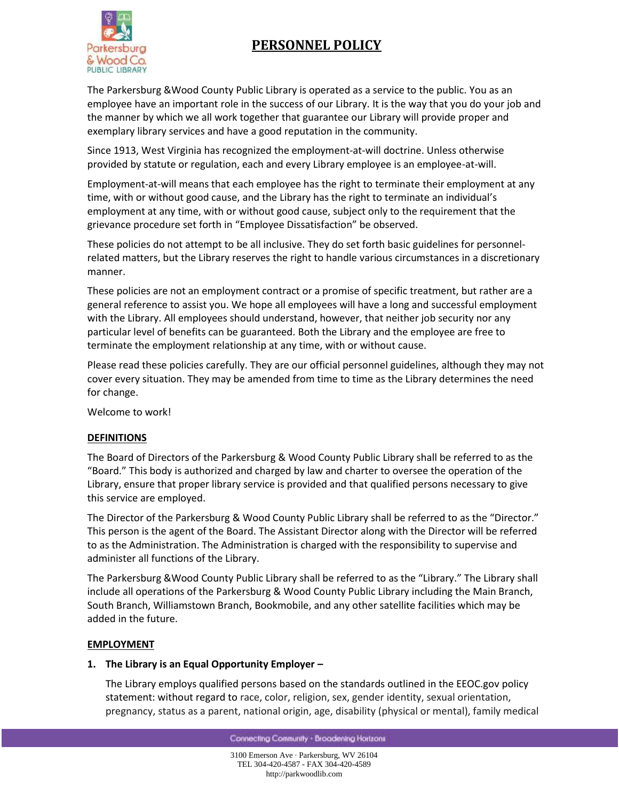



The Parkersburg &Wood County Public Library is operated as a service to the public. You as an employee have an important role in the success of our Library. It is the way that you do your job and the manner by which we all work together that guarantee our Library will provide proper and exemplary library services and have a good reputation in the community.

Since 1913, West Virginia has recognized the employment-at-will doctrine. Unless otherwise provided by statute or regulation, each and every Library employee is an employee-at-will.

Employment-at-will means that each employee has the right to terminate their employment at any time, with or without good cause, and the Library has the right to terminate an individual's employment at any time, with or without good cause, subject only to the requirement that the grievance procedure set forth in "Employee Dissatisfaction" be observed.

These policies do not attempt to be all inclusive. They do set forth basic guidelines for personnelrelated matters, but the Library reserves the right to handle various circumstances in a discretionary manner.

These policies are not an employment contract or a promise of specific treatment, but rather are a general reference to assist you. We hope all employees will have a long and successful employment with the Library. All employees should understand, however, that neither job security nor any particular level of benefits can be guaranteed. Both the Library and the employee are free to terminate the employment relationship at any time, with or without cause.

Please read these policies carefully. They are our official personnel guidelines, although they may not cover every situation. They may be amended from time to time as the Library determines the need for change.

Welcome to work!

## **DEFINITIONS**

The Board of Directors of the Parkersburg & Wood County Public Library shall be referred to as the "Board." This body is authorized and charged by law and charter to oversee the operation of the Library, ensure that proper library service is provided and that qualified persons necessary to give this service are employed.

The Director of the Parkersburg & Wood County Public Library shall be referred to as the "Director." This person is the agent of the Board. The Assistant Director along with the Director will be referred to as the Administration. The Administration is charged with the responsibility to supervise and administer all functions of the Library.

The Parkersburg &Wood County Public Library shall be referred to as the "Library." The Library shall include all operations of the Parkersburg & Wood County Public Library including the Main Branch, South Branch, Williamstown Branch, Bookmobile, and any other satellite facilities which may be added in the future.

### **EMPLOYMENT**

### **1. The Library is an Equal Opportunity Employer –**

The Library employs qualified persons based on the standards outlined in the EEOC.gov policy statement: without regard to race, color, religion, sex, gender identity, sexual orientation, pregnancy, status as a parent, national origin, age, disability (physical or mental), family medical

Connecting Community . Broadening Horizons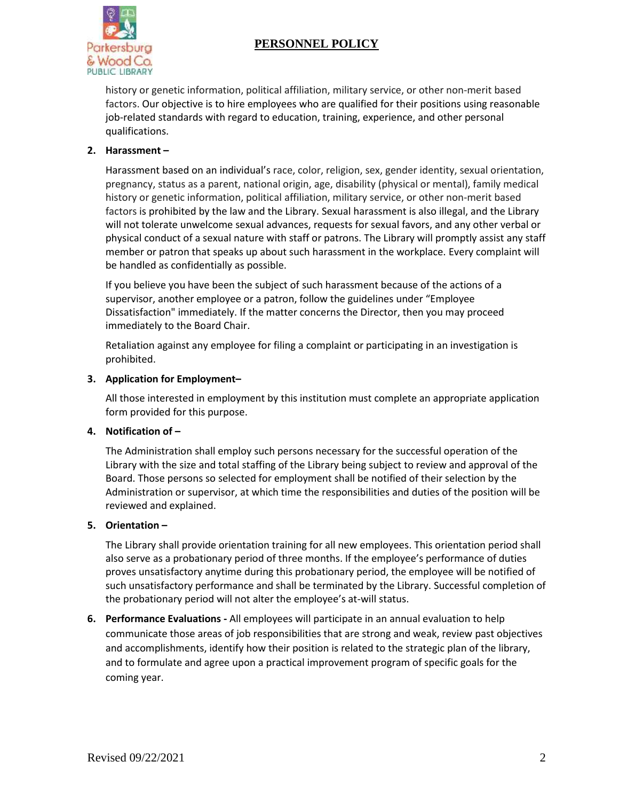

history or genetic information, political affiliation, military service, or other non-merit based factors. Our objective is to hire employees who are qualified for their positions using reasonable job-related standards with regard to education, training, experience, and other personal qualifications.

# **2. Harassment –**

Harassment based on an individual's race, color, religion, sex, gender identity, sexual orientation, pregnancy, status as a parent, national origin, age, disability (physical or mental), family medical history or genetic information, political affiliation, military service, or other non-merit based factors is prohibited by the law and the Library. Sexual harassment is also illegal, and the Library will not tolerate unwelcome sexual advances, requests for sexual favors, and any other verbal or physical conduct of a sexual nature with staff or patrons. The Library will promptly assist any staff member or patron that speaks up about such harassment in the workplace. Every complaint will be handled as confidentially as possible.

If you believe you have been the subject of such harassment because of the actions of a supervisor, another employee or a patron, follow the guidelines under "Employee Dissatisfaction" immediately. If the matter concerns the Director, then you may proceed immediately to the Board Chair.

Retaliation against any employee for filing a complaint or participating in an investigation is prohibited.

## **3. Application for Employment–**

All those interested in employment by this institution must complete an appropriate application form provided for this purpose.

## **4. Notification of –**

The Administration shall employ such persons necessary for the successful operation of the Library with the size and total staffing of the Library being subject to review and approval of the Board. Those persons so selected for employment shall be notified of their selection by the Administration or supervisor, at which time the responsibilities and duties of the position will be reviewed and explained.

## **5. Orientation –**

The Library shall provide orientation training for all new employees. This orientation period shall also serve as a probationary period of three months. If the employee's performance of duties proves unsatisfactory anytime during this probationary period, the employee will be notified of such unsatisfactory performance and shall be terminated by the Library. Successful completion of the probationary period will not alter the employee's at-will status.

**6. Performance Evaluations -** All employees will participate in an annual evaluation to help communicate those areas of job responsibilities that are strong and weak, review past objectives and accomplishments, identify how their position is related to the strategic plan of the library, and to formulate and agree upon a practical improvement program of specific goals for the coming year.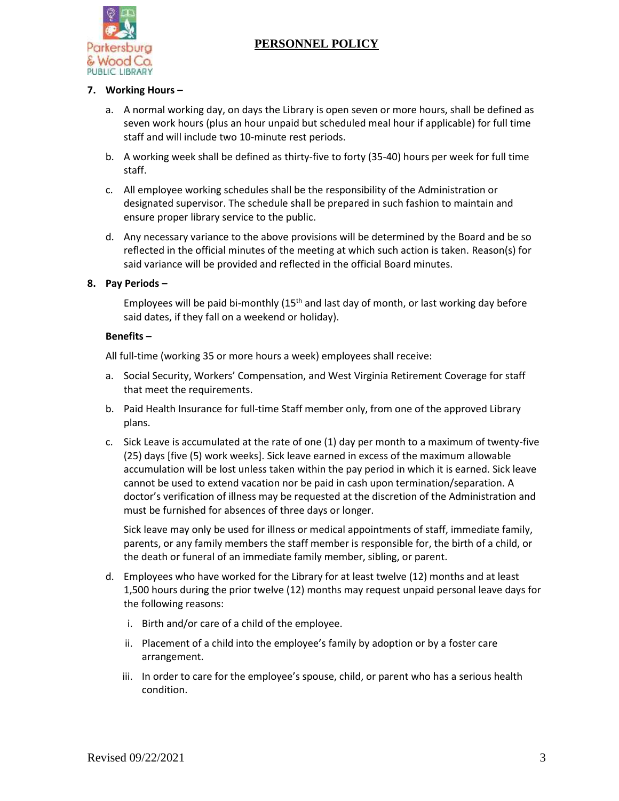

## **7. Working Hours –**

- a. A normal working day, on days the Library is open seven or more hours, shall be defined as seven work hours (plus an hour unpaid but scheduled meal hour if applicable) for full time staff and will include two 10-minute rest periods.
- b. A working week shall be defined as thirty-five to forty (35-40) hours per week for full time staff.
- c. All employee working schedules shall be the responsibility of the Administration or designated supervisor. The schedule shall be prepared in such fashion to maintain and ensure proper library service to the public.
- d. Any necessary variance to the above provisions will be determined by the Board and be so reflected in the official minutes of the meeting at which such action is taken. Reason(s) for said variance will be provided and reflected in the official Board minutes.

## **8. Pay Periods –**

Employees will be paid bi-monthly  $(15<sup>th</sup>$  and last day of month, or last working day before said dates, if they fall on a weekend or holiday).

#### **Benefits –**

All full-time (working 35 or more hours a week) employees shall receive:

- a. Social Security, Workers' Compensation, and West Virginia Retirement Coverage for staff that meet the requirements.
- b. Paid Health Insurance for full-time Staff member only, from one of the approved Library plans.
- c. Sick Leave is accumulated at the rate of one (1) day per month to a maximum of twenty-five (25) days [five (5) work weeks]. Sick leave earned in excess of the maximum allowable accumulation will be lost unless taken within the pay period in which it is earned. Sick leave cannot be used to extend vacation nor be paid in cash upon termination/separation. A doctor's verification of illness may be requested at the discretion of the Administration and must be furnished for absences of three days or longer.

Sick leave may only be used for illness or medical appointments of staff, immediate family, parents, or any family members the staff member is responsible for, the birth of a child, or the death or funeral of an immediate family member, sibling, or parent.

- d. Employees who have worked for the Library for at least twelve (12) months and at least 1,500 hours during the prior twelve (12) months may request unpaid personal leave days for the following reasons:
	- i. Birth and/or care of a child of the employee.
	- ii. Placement of a child into the employee's family by adoption or by a foster care arrangement.
	- iii. In order to care for the employee's spouse, child, or parent who has a serious health condition.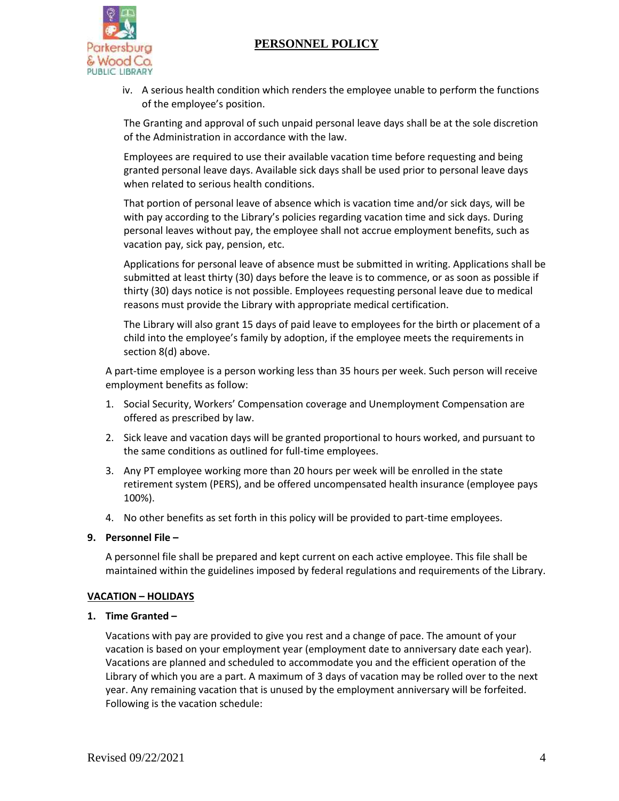

iv. A serious health condition which renders the employee unable to perform the functions of the employee's position.

The Granting and approval of such unpaid personal leave days shall be at the sole discretion of the Administration in accordance with the law.

Employees are required to use their available vacation time before requesting and being granted personal leave days. Available sick days shall be used prior to personal leave days when related to serious health conditions.

That portion of personal leave of absence which is vacation time and/or sick days, will be with pay according to the Library's policies regarding vacation time and sick days. During personal leaves without pay, the employee shall not accrue employment benefits, such as vacation pay, sick pay, pension, etc.

Applications for personal leave of absence must be submitted in writing. Applications shall be submitted at least thirty (30) days before the leave is to commence, or as soon as possible if thirty (30) days notice is not possible. Employees requesting personal leave due to medical reasons must provide the Library with appropriate medical certification.

The Library will also grant 15 days of paid leave to employees for the birth or placement of a child into the employee's family by adoption, if the employee meets the requirements in section 8(d) above.

A part-time employee is a person working less than 35 hours per week. Such person will receive employment benefits as follow:

- 1. Social Security, Workers' Compensation coverage and Unemployment Compensation are offered as prescribed by law.
- 2. Sick leave and vacation days will be granted proportional to hours worked, and pursuant to the same conditions as outlined for full-time employees.
- 3. Any PT employee working more than 20 hours per week will be enrolled in the state retirement system (PERS), and be offered uncompensated health insurance (employee pays 100%).
- 4. No other benefits as set forth in this policy will be provided to part-time employees.

### **9. Personnel File –**

A personnel file shall be prepared and kept current on each active employee. This file shall be maintained within the guidelines imposed by federal regulations and requirements of the Library.

### **VACATION – HOLIDAYS**

### **1. Time Granted –**

Vacations with pay are provided to give you rest and a change of pace. The amount of your vacation is based on your employment year (employment date to anniversary date each year). Vacations are planned and scheduled to accommodate you and the efficient operation of the Library of which you are a part. A maximum of 3 days of vacation may be rolled over to the next year. Any remaining vacation that is unused by the employment anniversary will be forfeited. Following is the vacation schedule: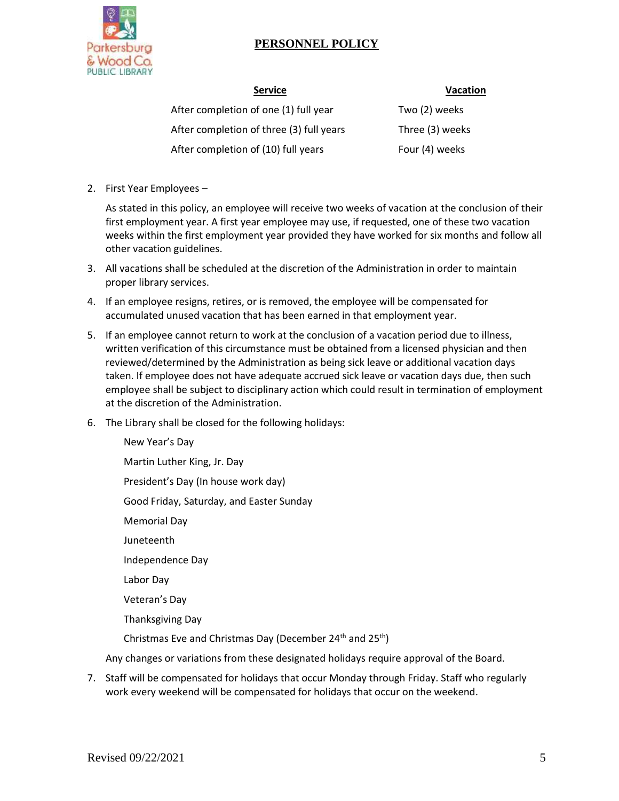

**Service Vacation**

| <b>Service</b>                           | Vacat           |
|------------------------------------------|-----------------|
| After completion of one (1) full year    | Two (2) weeks   |
| After completion of three (3) full years | Three (3) weeks |
| After completion of (10) full years      | Four (4) weeks  |

2. First Year Employees –

As stated in this policy, an employee will receive two weeks of vacation at the conclusion of their first employment year. A first year employee may use, if requested, one of these two vacation weeks within the first employment year provided they have worked for six months and follow all other vacation guidelines.

- 3. All vacations shall be scheduled at the discretion of the Administration in order to maintain proper library services.
- 4. If an employee resigns, retires, or is removed, the employee will be compensated for accumulated unused vacation that has been earned in that employment year.
- 5. If an employee cannot return to work at the conclusion of a vacation period due to illness, written verification of this circumstance must be obtained from a licensed physician and then reviewed/determined by the Administration as being sick leave or additional vacation days taken. If employee does not have adequate accrued sick leave or vacation days due, then such employee shall be subject to disciplinary action which could result in termination of employment at the discretion of the Administration.
- 6. The Library shall be closed for the following holidays:

New Year's Day Martin Luther King, Jr. Day President's Day (In house work day) Good Friday, Saturday, and Easter Sunday Memorial Day Juneteenth Independence Day Labor Day Veteran's Day Thanksgiving Day Christmas Eve and Christmas Day (December 24<sup>th</sup> and 25<sup>th</sup>)

Any changes or variations from these designated holidays require approval of the Board.

7. Staff will be compensated for holidays that occur Monday through Friday. Staff who regularly work every weekend will be compensated for holidays that occur on the weekend.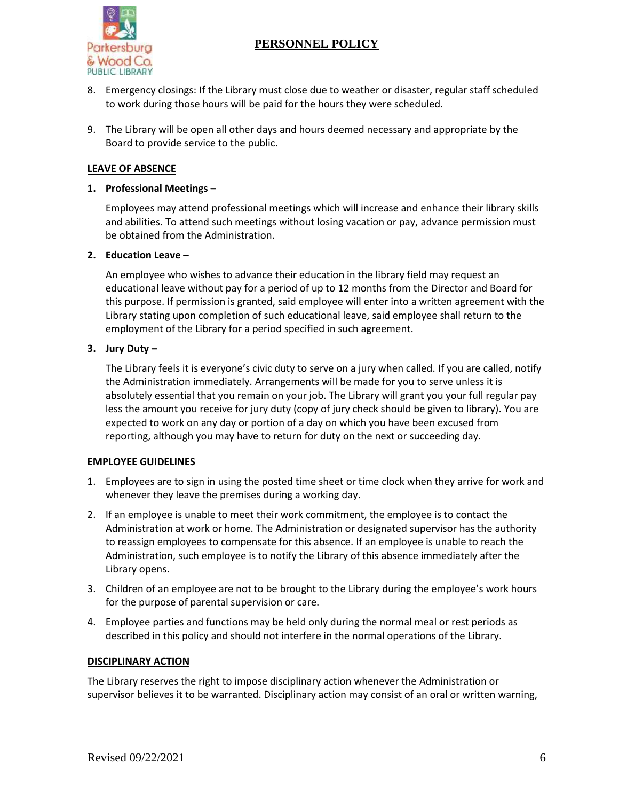

- 8. Emergency closings: If the Library must close due to weather or disaster, regular staff scheduled to work during those hours will be paid for the hours they were scheduled.
- 9. The Library will be open all other days and hours deemed necessary and appropriate by the Board to provide service to the public.

## **LEAVE OF ABSENCE**

### **1. Professional Meetings –**

Employees may attend professional meetings which will increase and enhance their library skills and abilities. To attend such meetings without losing vacation or pay, advance permission must be obtained from the Administration.

### **2. Education Leave –**

An employee who wishes to advance their education in the library field may request an educational leave without pay for a period of up to 12 months from the Director and Board for this purpose. If permission is granted, said employee will enter into a written agreement with the Library stating upon completion of such educational leave, said employee shall return to the employment of the Library for a period specified in such agreement.

## **3. Jury Duty –**

The Library feels it is everyone's civic duty to serve on a jury when called. If you are called, notify the Administration immediately. Arrangements will be made for you to serve unless it is absolutely essential that you remain on your job. The Library will grant you your full regular pay less the amount you receive for jury duty (copy of jury check should be given to library). You are expected to work on any day or portion of a day on which you have been excused from reporting, although you may have to return for duty on the next or succeeding day.

### **EMPLOYEE GUIDELINES**

- 1. Employees are to sign in using the posted time sheet or time clock when they arrive for work and whenever they leave the premises during a working day.
- 2. If an employee is unable to meet their work commitment, the employee is to contact the Administration at work or home. The Administration or designated supervisor has the authority to reassign employees to compensate for this absence. If an employee is unable to reach the Administration, such employee is to notify the Library of this absence immediately after the Library opens.
- 3. Children of an employee are not to be brought to the Library during the employee's work hours for the purpose of parental supervision or care.
- 4. Employee parties and functions may be held only during the normal meal or rest periods as described in this policy and should not interfere in the normal operations of the Library.

### **DISCIPLINARY ACTION**

The Library reserves the right to impose disciplinary action whenever the Administration or supervisor believes it to be warranted. Disciplinary action may consist of an oral or written warning,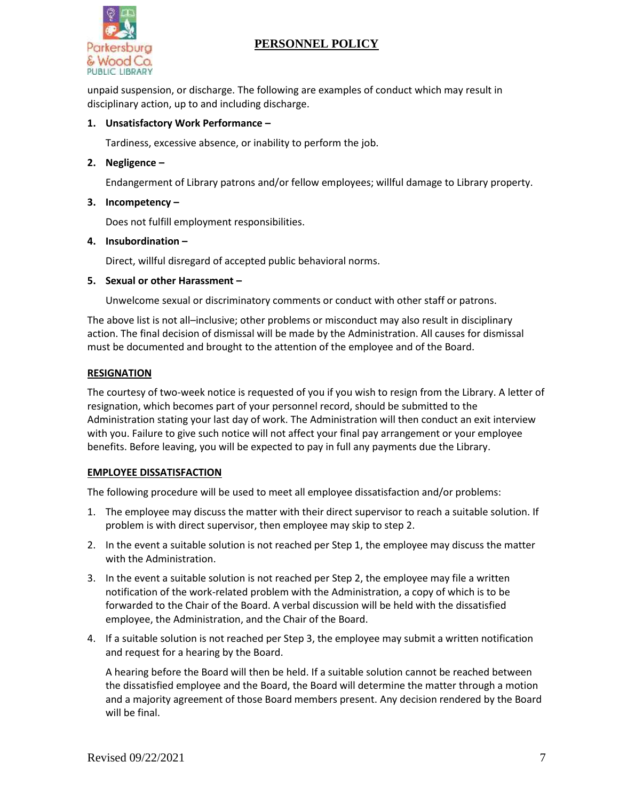

unpaid suspension, or discharge. The following are examples of conduct which may result in disciplinary action, up to and including discharge.

## **1. Unsatisfactory Work Performance –**

Tardiness, excessive absence, or inability to perform the job.

## **2. Negligence –**

Endangerment of Library patrons and/or fellow employees; willful damage to Library property.

### **3. Incompetency –**

Does not fulfill employment responsibilities.

### **4. Insubordination –**

Direct, willful disregard of accepted public behavioral norms.

### **5. Sexual or other Harassment –**

Unwelcome sexual or discriminatory comments or conduct with other staff or patrons.

The above list is not all–inclusive; other problems or misconduct may also result in disciplinary action. The final decision of dismissal will be made by the Administration. All causes for dismissal must be documented and brought to the attention of the employee and of the Board.

## **RESIGNATION**

The courtesy of two-week notice is requested of you if you wish to resign from the Library. A letter of resignation, which becomes part of your personnel record, should be submitted to the Administration stating your last day of work. The Administration will then conduct an exit interview with you. Failure to give such notice will not affect your final pay arrangement or your employee benefits. Before leaving, you will be expected to pay in full any payments due the Library.

## **EMPLOYEE DISSATISFACTION**

The following procedure will be used to meet all employee dissatisfaction and/or problems:

- 1. The employee may discuss the matter with their direct supervisor to reach a suitable solution. If problem is with direct supervisor, then employee may skip to step 2.
- 2. In the event a suitable solution is not reached per Step 1, the employee may discuss the matter with the Administration.
- 3. In the event a suitable solution is not reached per Step 2, the employee may file a written notification of the work-related problem with the Administration, a copy of which is to be forwarded to the Chair of the Board. A verbal discussion will be held with the dissatisfied employee, the Administration, and the Chair of the Board.
- 4. If a suitable solution is not reached per Step 3, the employee may submit a written notification and request for a hearing by the Board.

A hearing before the Board will then be held. If a suitable solution cannot be reached between the dissatisfied employee and the Board, the Board will determine the matter through a motion and a majority agreement of those Board members present. Any decision rendered by the Board will be final.